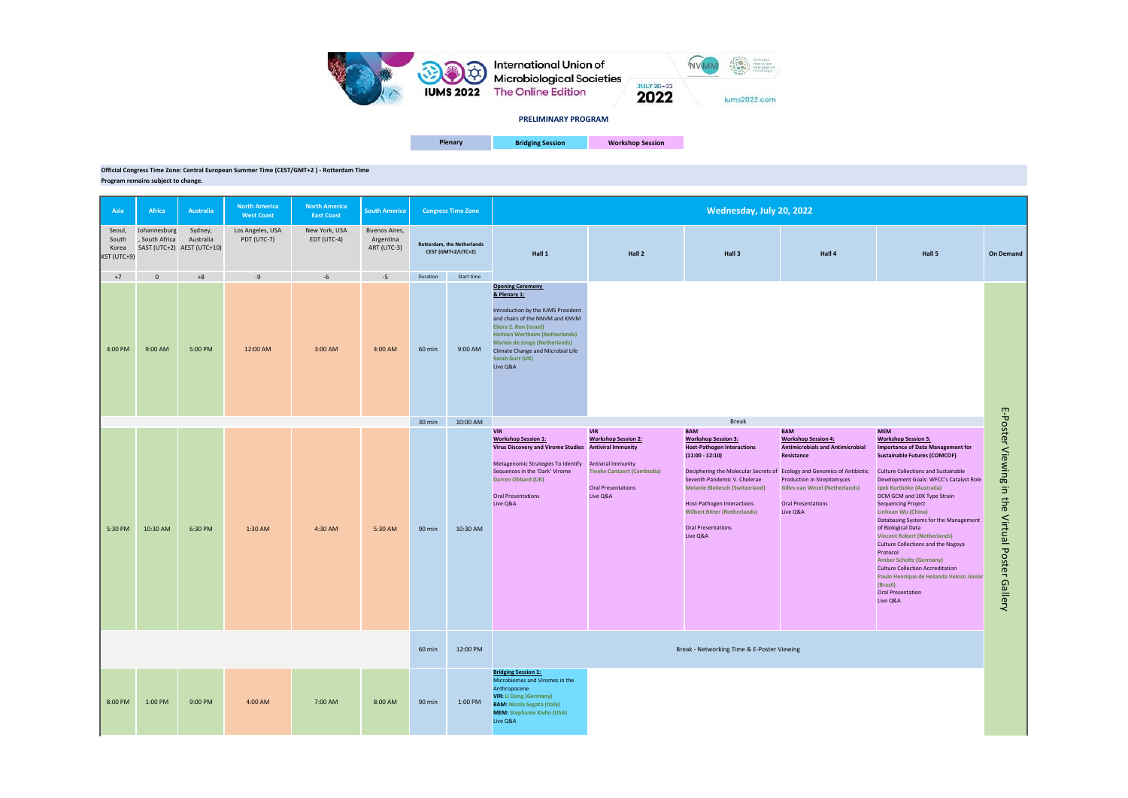**Bridging Session Workshop Session** 

## **Official Congress Time Zone: Central European Summer Time (CEST/GMT+2 ) - Rotterdam Time Program remains subject to change.**

**Asia Africa Australia North America West Coast North America East Coast South America** Seoul, South Korea KST (UTC+9) Johannesburg , South Africa SAST (UTC+2) AEST (UTC+10) Sydney, Australia Los Angeles, USA PDT (UTC-7) New York, USA EDT (UTC-4) Buenos Aires, Argentina ART (UTC-3) +7 0 +8 -9 -6 -5 Duration Start time 4:00 PM 9:00 AM 5:00 PM 12:00 AM 3:00 AM 4:00 AM 60 min 9:00 AM **Opening Ceremony & Plenary 1:** Introduction by the IUMS President and chairs of the NNVM and KNVM **Eliora Z. Ron (Israel) Heiman Wertheim (Netherlands) Marien de Jonge (Netherlands)** Climate Change and Microbial Life **Sarah Gurr (UK)** Live Q&A 30 min 10:00 AM 5:30 PM | 10:30 AM | 6:30 PM | 1:30 AM | 4:30 AM | 5:30 AM | 90 min | 10:30 AM **VIR Workshop Session 1: Virus Discovery and Virome Studies Antiviral Immunity** Metagenomic Strategies To Identify Antiviral Immunity Sequences in the 'Dark' Virome **Darren Obbard (UK)** Oral Presentations Live Q&A **VIR Workshop Session 2: Tineke Cantaert (Cambodia)** Oral Presentations Live Q&A **BAM Workshop Session 3: Host-Pathogen Interactions (11:00 - 12:10)** Deciphering the Molecular Secrets of Ecology and Genomics of Antibiotic Seventh Pandemic V. Cholerae **Melanie Blokesch (Switzerland)** Host-Pathogen Interactions **Wilbert Bitter (Netherlands)** Oral Presentations Live Q&A **BAM Workshop Session 4: Antimicrobials and Antimi Resistance** Production in Streptomyces **Gilles van Wezel (Netherlands)** Oral Presentations Live Q&A 60 min 12:00 PM 8:00 PM 1:00 PM 9:00 PM 4:00 AM 7:00 AM 8:00 AM 90 min 1:00 PM **Bridging Session 1:**  Microbiomes and Viromes in the Anthropocene **VIR: Li Deng (Germany) BAM: Nicola Segata (Italy) MEM: Stephanie Kivlin (USA)** Live Q&A Break Break - Networking Time & E-Poster Viewing **Congress Time Zone Rotterdam, the Netherlands CEST (GMT+2/UTC+2) Hall 1 Hall 2 Hall 3 Hall 4 Hall 5 Wednesday, July 20, 2022**

|                                     | Hall 5                                                                                                                                                                                                                                                                                                                                                                                                                                                                                                                                                                                                                                                                         | <b>On Demand</b>                               |
|-------------------------------------|--------------------------------------------------------------------------------------------------------------------------------------------------------------------------------------------------------------------------------------------------------------------------------------------------------------------------------------------------------------------------------------------------------------------------------------------------------------------------------------------------------------------------------------------------------------------------------------------------------------------------------------------------------------------------------|------------------------------------------------|
| crobial<br><b>ntibiotic</b><br>nds) | <b>MEM</b><br><b>Workshop Session 5:</b><br><b>Importance of Data Management for</b><br><b>Sustainable Futures (COMCOF)</b><br><b>Culture Collections and Sustainable</b><br>Development Goals: WFCC's Catalyst Role<br>Ipek Kurtböke (Australia)<br>DCM GCM and 10K Type Strain<br><b>Sequencing Project</b><br>Linhuan Wu (China)<br>Databasing Systems for the Management<br>of Biological Data<br><b>Vincent Robert (Netherlands)</b><br><b>Culture Collections and the Nagoya</b><br>Protocol<br><b>Amber Scholtz (Germany)</b><br><b>Culture Collection Accreditation</b><br>Paulo Henrique de Holanda Veloso Júnior<br>(Brazil)<br><b>Oral Presentation</b><br>Live Q&A | E-Poster Viewing in the Virtual Poster Gallery |

**Plenary**



**PRELIMINARY PROGRAM**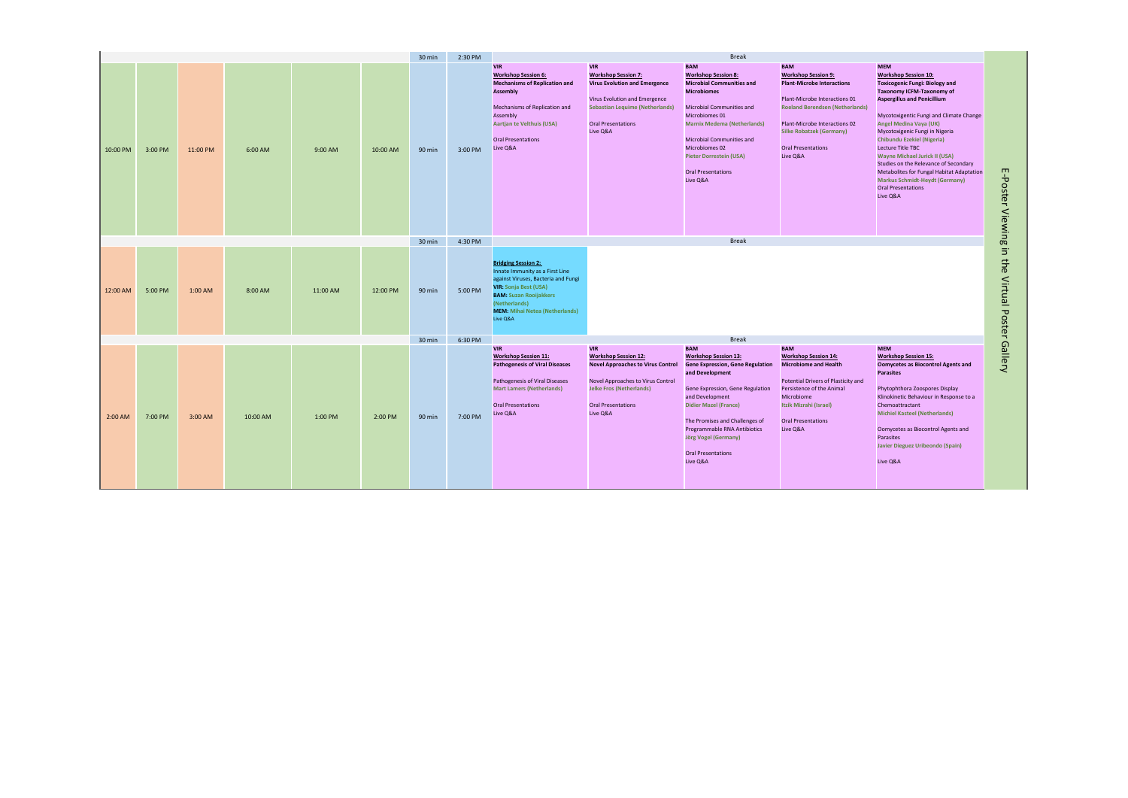|          |         |          |          |          |          | 30 min | 2:30 PM | <b>Break</b>                                                                                                                                                                                                                                |                                                                                                                                                                                                        |                                                                                                                                                                                                                                                                                                                                          |                                                                                                                                                                                                                                                                       |                                                                                                                                                                                                                                                                                                                                                                                                                                                                                                                                               |
|----------|---------|----------|----------|----------|----------|--------|---------|---------------------------------------------------------------------------------------------------------------------------------------------------------------------------------------------------------------------------------------------|--------------------------------------------------------------------------------------------------------------------------------------------------------------------------------------------------------|------------------------------------------------------------------------------------------------------------------------------------------------------------------------------------------------------------------------------------------------------------------------------------------------------------------------------------------|-----------------------------------------------------------------------------------------------------------------------------------------------------------------------------------------------------------------------------------------------------------------------|-----------------------------------------------------------------------------------------------------------------------------------------------------------------------------------------------------------------------------------------------------------------------------------------------------------------------------------------------------------------------------------------------------------------------------------------------------------------------------------------------------------------------------------------------|
| 10:00 PM | 3:00 PM | 11:00 PM | 6:00 AM  | 9:00 AM  | 10:00 AM | 90 min | 3:00 PM | <b>VIR</b><br><b>Workshop Session 6:</b><br><b>Mechanisms of Replication and</b><br><b>Assembly</b><br>Mechanisms of Replication and<br>Assembly<br>Aartjan te Velthuis (USA)<br><b>Oral Presentations</b><br>Live Q&A                      | <b>VIR</b><br><b>Workshop Session 7:</b><br><b>Virus Evolution and Emergence</b><br>Virus Evolution and Emergence<br><b>Sebastian Lequime (Netherlands)</b><br><b>Oral Presentations</b><br>Live Q&A   | <b>BAM</b><br><b>Workshop Session 8:</b><br><b>Microbial Communities and</b><br><b>Microbiomes</b><br><b>Microbial Communities and</b><br>Microbiomes 01<br><b>Marnix Medema (Netherlands)</b><br><b>Microbial Communities and</b><br><b>Microbiomes 02</b><br><b>Pieter Dorrestein (USA)</b><br><b>Oral Presentations</b><br>Live Q&A   | <b>BAM</b><br><b>Workshop Session 9:</b><br><b>Plant-Microbe Interactions</b><br>Plant-Microbe Interactions 01<br><b>Roeland Berendsen (Netherlands)</b><br>Plant-Microbe Interactions 02<br><b>Silke Robatzek (Germany)</b><br><b>Oral Presentations</b><br>Live Q&A | <b>MEM</b><br><b>Workshop Session 10:</b><br><b>Toxicogenic Fungi: Biology and</b><br>Taxonomy ICFM-Taxonomy of<br><b>Aspergillus and Penicillium</b><br>Mycotoxigentic Fungi and Climate Change<br><b>Angel Medina Vaya (UK)</b><br>Mycotoxigenic Fungi in Nigeria<br><b>Chibundu Ezekiel (Nigeria)</b><br>Lecture Title TBC<br><b>Wayne Michael Jurick II (USA)</b><br>Studies on the Relevance of Secondary<br>Metabolites for Fungal Habitat Adaptation<br><b>Markus Schmidt-Heydt (Germany)</b><br><b>Oral Presentations</b><br>Live Q&A |
|          |         |          |          |          |          | 30 min | 4:30 PM |                                                                                                                                                                                                                                             |                                                                                                                                                                                                        | <b>Break</b>                                                                                                                                                                                                                                                                                                                             |                                                                                                                                                                                                                                                                       |                                                                                                                                                                                                                                                                                                                                                                                                                                                                                                                                               |
| 12:00 AM | 5:00 PM | 1:00 AM  | 8:00 AM  | 11:00 AM | 12:00 PM | 90 min | 5:00 PM | <b>Bridging Session 2:</b><br>Innate Immunity as a First Line<br>against Viruses, Bacteria and Fungi<br><b>VIR: Sonja Best (USA)</b><br><b>BAM: Suzan Rooijakkers</b><br>(Netherlands)<br><b>MEM: Mihai Netea (Netherlands)</b><br>Live Q&A |                                                                                                                                                                                                        |                                                                                                                                                                                                                                                                                                                                          |                                                                                                                                                                                                                                                                       |                                                                                                                                                                                                                                                                                                                                                                                                                                                                                                                                               |
|          |         |          |          |          |          | 30 min | 6:30 PM | <b>Break</b>                                                                                                                                                                                                                                |                                                                                                                                                                                                        |                                                                                                                                                                                                                                                                                                                                          |                                                                                                                                                                                                                                                                       |                                                                                                                                                                                                                                                                                                                                                                                                                                                                                                                                               |
| 2:00 AM  | 7:00 PM | 3:00 AM  | 10:00 AM | 1:00 PM  | 2:00 PM  | 90 min | 7:00 PM | <b>VIR</b><br><b>Workshop Session 11:</b><br><b>Pathogenesis of Viral Diseases</b><br>Pathogenesis of Viral Diseases<br><b>Mart Lamers (Netherlands)</b><br><b>Oral Presentations</b><br>Live Q&A                                           | <b>VIR</b><br><b>Workshop Session 12:</b><br><b>Novel Approaches to Virus Control</b><br>Novel Approaches to Virus Control<br><b>Jelke Fros (Netherlands)</b><br><b>Oral Presentations</b><br>Live Q&A | <b>BAM</b><br><b>Workshop Session 13:</b><br><b>Gene Expression, Gene Regulation</b><br>and Development<br>Gene Expression, Gene Regulation<br>and Development<br><b>Didier Mazel (France)</b><br>The Promises and Challenges of<br>Programmable RNA Antibiotics<br><b>Jörg Vogel (Germany)</b><br><b>Oral Presentations</b><br>Live Q&A | <b>BAM</b><br><b>Workshop Session 14:</b><br><b>Microbiome and Health</b><br>Potential Drivers of Plasticity and<br>Persistence of the Animal<br>Microbiome<br>Itzik Mizrahi (Israel)<br><b>Oral Presentations</b><br>Live Q&A                                        | <b>MEM</b><br><b>Workshop Session 15:</b><br><b>Oomycetes as Biocontrol Agents and</b><br><b>Parasites</b><br>Phytophthora Zoospores Display<br>Klinokinetic Behaviour in Response to a<br>Chemoattractant<br><b>Michiel Kasteel (Netherlands)</b><br>Oomycetes as Biocontrol Agents and<br>Parasites<br>Javier Dieguez Uribeondo (Spain)<br>Live Q&A                                                                                                                                                                                         |

| <b>Workshop Session 10:</b>               |
|-------------------------------------------|
| Toxicogenic Fungi: Biology and            |
| Taxonomy ICFM-Taxonomy of                 |
| <b>Aspergillus and Penicillium</b>        |
|                                           |
| Mycotoxigentic Fungi and Climate Change   |
| Angel Medina Vaya (UK)                    |
| Mycotoxigenic Fungi in Nigeria            |
| <b>Chibundu Ezekiel (Nigeria)</b>         |
| Lecture Title TBC                         |
| Wayne Michael Jurick II (USA)             |
| Studies on the Relevance of Secondary     |
| Metabolites for Fungal Habitat Adaptation |
| <b>Markus Schmidt-Heydt (Germany)</b>     |
| <b>Oral Presentations</b>                 |
| Live Q&A                                  |

E-Poster Viewing in the Virtual Poster Gallery E-Poster Viewing in the Virtual Poster Gallery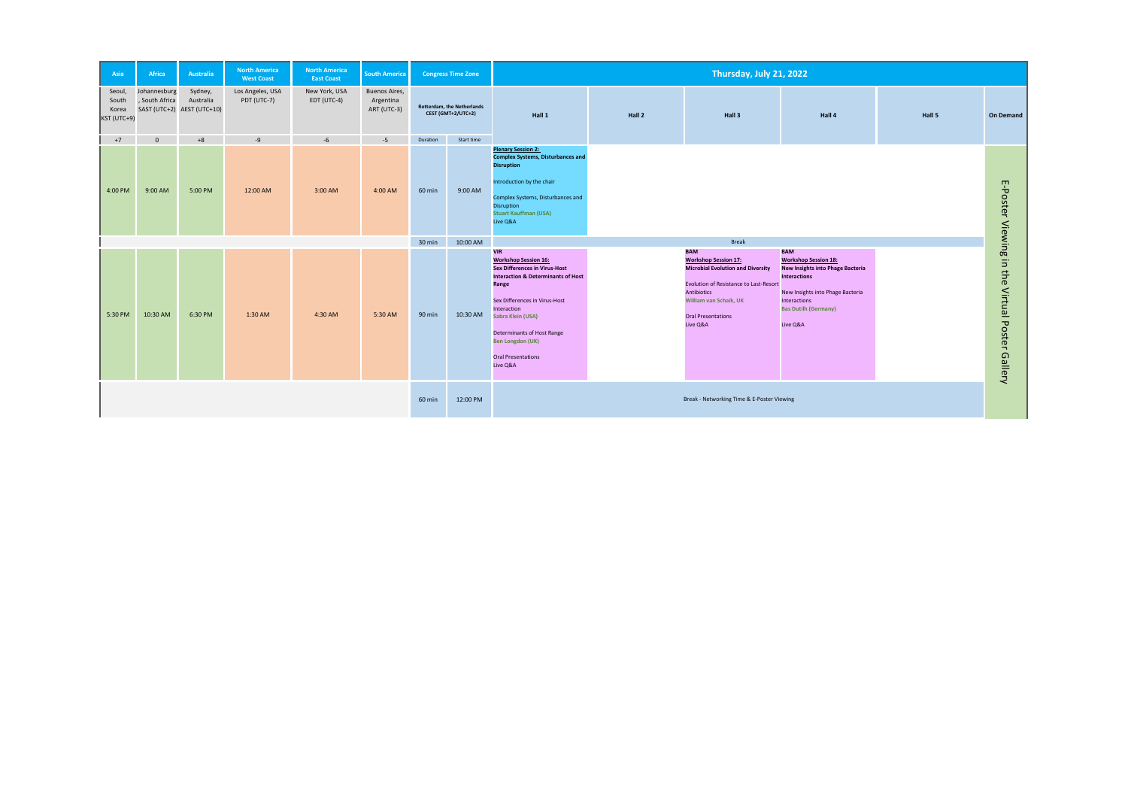| Asia                                    | <b>Africa</b>                  | <b>Australia</b>                                   | <b>North America</b><br><b>West Coast</b> | <b>North America</b><br><b>East Coast</b> | <b>South America</b>                      |               | <b>Congress Time Zone</b>                               | Thursday, July 21, 2022                                                                                                                                                                                                                                                                                            |        |                                                                                                                                                                                                                          |                                                                                                                                                                                                        |  |
|-----------------------------------------|--------------------------------|----------------------------------------------------|-------------------------------------------|-------------------------------------------|-------------------------------------------|---------------|---------------------------------------------------------|--------------------------------------------------------------------------------------------------------------------------------------------------------------------------------------------------------------------------------------------------------------------------------------------------------------------|--------|--------------------------------------------------------------------------------------------------------------------------------------------------------------------------------------------------------------------------|--------------------------------------------------------------------------------------------------------------------------------------------------------------------------------------------------------|--|
| Seoul,<br>South<br>Korea<br>KST (UTC+9) | Johannesburg<br>, South Africa | Sydney,<br>Australia<br>SAST (UTC+2) AEST (UTC+10) | Los Angeles, USA<br>PDT (UTC-7)           | New York, USA<br>EDT (UTC-4)              | Buenos Aires,<br>Argentina<br>ART (UTC-3) |               | <b>Rotterdam, the Netherlands</b><br>CEST (GMT+2/UTC+2) | Hall 1                                                                                                                                                                                                                                                                                                             | Hall 2 | Hall 3                                                                                                                                                                                                                   | Hall 4                                                                                                                                                                                                 |  |
| $+7$                                    | $\mathbf{0}$                   | $+8$                                               | -9                                        | $-6$                                      | $-5$                                      | Duration      | Start time                                              |                                                                                                                                                                                                                                                                                                                    |        |                                                                                                                                                                                                                          |                                                                                                                                                                                                        |  |
| 4:00 PM                                 | 9:00 AM                        | 5:00 PM                                            | 12:00 AM                                  | 3:00 AM                                   | 4:00 AM                                   | <b>60 min</b> | 9:00 AM                                                 | <b>Plenary Session 2:</b><br><b>Complex Systems, Disturbances and</b><br><b>Disruption</b><br>Introduction by the chair<br>Complex Systems, Disturbances and<br><b>Disruption</b><br><b>Stuart Kauffman (USA)</b><br>Live Q&A                                                                                      |        |                                                                                                                                                                                                                          |                                                                                                                                                                                                        |  |
|                                         |                                |                                                    |                                           |                                           |                                           | 30 min        | 10:00 AM                                                | <b>Break</b>                                                                                                                                                                                                                                                                                                       |        |                                                                                                                                                                                                                          |                                                                                                                                                                                                        |  |
| 5:30 PM                                 | 10:30 AM                       | 6:30 PM                                            | 1:30 AM                                   | 4:30 AM                                   | 5:30 AM                                   | 90 min        | 10:30 AM                                                | <b>VIR</b><br><b>Workshop Session 16:</b><br><b>Sex Differences in Virus-Host</b><br><b>Interaction &amp; Determinants of Host</b><br>Range<br>Sex Differences in Virus-Host<br>Interaction<br>Sabra Klein (USA)<br>Determinants of Host Range<br><b>Ben Longdon (UK)</b><br><b>Oral Presentations</b><br>Live Q&A |        | <b>BAM</b><br><b>Workshop Session 17:</b><br><b>Microbial Evolution and Diversity</b><br>Evolution of Resistance to Last-Resort<br><b>Antibiotics</b><br>William van Schaik, UK<br><b>Oral Presentations</b><br>Live Q&A | <b>BAM</b><br><b>Workshop Session 18:</b><br><b>New Insights into Phage Ba</b><br><b>Interactions</b><br>New Insights into Phage Bac<br><b>Interactions</b><br><b>Bas Dutilh (Germany)</b><br>Live Q&A |  |
|                                         |                                |                                                    |                                           |                                           |                                           |               | 12:00 PM                                                |                                                                                                                                                                                                                                                                                                                    |        | Break - Networking Time & E-Poster Viewing                                                                                                                                                                               |                                                                                                                                                                                                        |  |

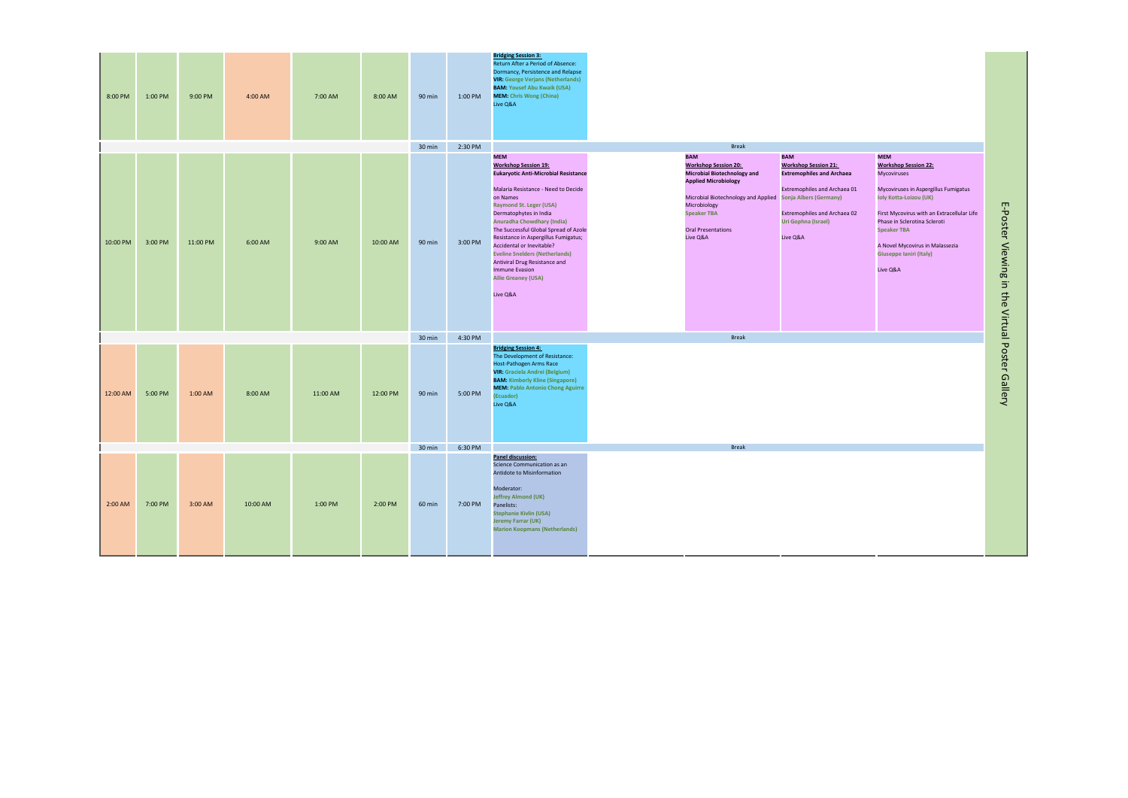| 8:00 PM  | 1:00 PM | 9:00 PM  | 4:00 AM  | 7:00 AM  | 8:00 AM  | 90 min           | 1:00 PM | <b>Bridging Session 3:</b><br>Return After a Period of Absence:<br>Dormancy, Persistence and Relapse<br><b>VIR: George Verjans (Netherlands)</b><br><b>BAM: Yousef Abu Kwaik (USA)</b><br><b>MEM: Chris Wong (China)</b><br>Live Q&A                                                                                                                                                                                                                                                                    |                                                                                                                                                                                                                                                             |                                                                                                                                                                                         |                                                                                                                                                                                                                                                                                                                               |
|----------|---------|----------|----------|----------|----------|------------------|---------|---------------------------------------------------------------------------------------------------------------------------------------------------------------------------------------------------------------------------------------------------------------------------------------------------------------------------------------------------------------------------------------------------------------------------------------------------------------------------------------------------------|-------------------------------------------------------------------------------------------------------------------------------------------------------------------------------------------------------------------------------------------------------------|-----------------------------------------------------------------------------------------------------------------------------------------------------------------------------------------|-------------------------------------------------------------------------------------------------------------------------------------------------------------------------------------------------------------------------------------------------------------------------------------------------------------------------------|
|          |         |          |          |          |          | 30 min           | 2:30 PM |                                                                                                                                                                                                                                                                                                                                                                                                                                                                                                         | <b>Break</b>                                                                                                                                                                                                                                                |                                                                                                                                                                                         |                                                                                                                                                                                                                                                                                                                               |
| 10:00 PM | 3:00 PM | 11:00 PM | 6:00 AM  | 9:00 AM  | 10:00 AM | 90 min           | 3:00 PM | <b>MEM</b><br><b>Workshop Session 19:</b><br><b>Eukaryotic Anti-Microbial Resistance</b><br>Malaria Resistance - Need to Decide<br>on Names<br><b>Raymond St. Leger (USA)</b><br>Dermatophytes in India<br><b>Anuradha Chowdhary (India)</b><br>The Successful Global Spread of Azole<br>Resistance in Aspergillus Fumigatus;<br>Accidental or Inevitable?<br><b>Eveline Snelders (Netherlands)</b><br>Antiviral Drug Resistance and<br><b>Immune Evasion</b><br><b>Allie Greaney (USA)</b><br>Live Q&A | <b>BAM</b><br><b>Workshop Session 20:</b><br><b>Microbial Biotechnology and</b><br><b>Applied Microbiology</b><br>Microbial Biotechnology and Applied Sonja Albers (Germany)<br>Microbiology<br><b>Speaker TBA</b><br><b>Oral Presentations</b><br>Live Q&A | <b>BAM</b><br><b>Workshop Session 21:</b><br><b>Extremophiles and Archaea</b><br>Extremophiles and Archaea 01<br><b>Extremophiles and Archaea 02</b><br>Uri Gophna (Israel)<br>Live Q&A | <b>MEM</b><br><b>Workshop Session 22:</b><br><b>Mycoviruses</b><br>Mycoviruses in Aspergillus Fumigatus<br><b>Ioly Kotta-Loizou (UK)</b><br>First Mycovirus with an Extracellular Life<br>Phase in Sclerotina Scleroti<br><b>Speaker TBA</b><br>A Novel Mycovirus in Malassezia<br><b>Giuseppe Ianiri (Italy)</b><br>Live Q&A |
|          |         |          |          |          |          | 30 min           | 4:30 PM |                                                                                                                                                                                                                                                                                                                                                                                                                                                                                                         | <b>Break</b>                                                                                                                                                                                                                                                |                                                                                                                                                                                         |                                                                                                                                                                                                                                                                                                                               |
| 12:00 AM | 5:00 PM | 1:00 AM  | 8:00 AM  | 11:00 AM | 12:00 PM | 90 min           | 5:00 PM | <b>Bridging Session 4:</b><br>The Development of Resistance:<br>Host-Pathogen Arms Race<br><b>VIR: Graciela Andrei (Belgium)</b><br><b>BAM: Kimberly Kline (Singapore)</b><br><b>MEM: Pablo Antonio Chong Aguirre</b><br>(Ecuador)<br>Live Q&A                                                                                                                                                                                                                                                          |                                                                                                                                                                                                                                                             |                                                                                                                                                                                         |                                                                                                                                                                                                                                                                                                                               |
|          |         |          |          |          |          | $30 \text{ min}$ | 6:30 PM |                                                                                                                                                                                                                                                                                                                                                                                                                                                                                                         | <b>Break</b>                                                                                                                                                                                                                                                |                                                                                                                                                                                         |                                                                                                                                                                                                                                                                                                                               |
| 2:00 AM  | 7:00 PM | 3:00 AM  | 10:00 AM | 1:00 PM  | 2:00 PM  | 60 min           | 7:00 PM | Panel discussion:<br>Science Communication as an<br>Antidote to Misinformation<br>Moderator:<br><b>Jeffrey Almond (UK)</b><br>Panelists:<br><b>Stephanie Kivlin (USA)</b><br>Jeremy Farrar (UK)<br><b>Marion Koopmans (Netherlands)</b>                                                                                                                                                                                                                                                                 |                                                                                                                                                                                                                                                             |                                                                                                                                                                                         |                                                                                                                                                                                                                                                                                                                               |